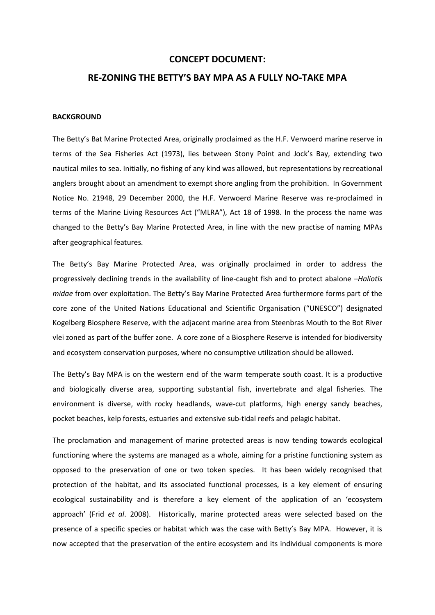### **CONCEPT DOCUMENT:**

# **RE-ZONING THE BETTY'S BAY MPA AS A FULLY NO-TAKE MPA**

## **BACKGROUND**

The Betty's Bat Marine Protected Area, originally proclaimed as the H.F. Verwoerd marine reserve in terms of the Sea Fisheries Act (1973), lies between Stony Point and Jock's Bay, extending two nautical miles to sea. Initially, no fishing of any kind was allowed, but representations by recreational anglers brought about an amendment to exempt shore angling from the prohibition. In Government Notice No. 21948, 29 December 2000, the H.F. Verwoerd Marine Reserve was re-proclaimed in terms of the Marine Living Resources Act ("MLRA"), Act 18 of 1998. In the process the name was changed to the Betty's Bay Marine Protected Area, in line with the new practise of naming MPAs after geographical features.

The Betty's Bay Marine Protected Area, was originally proclaimed in order to address the progressively declining trends in the availability of line-caught fish and to protect abalone –*Haliotis midae* from over exploitation. The Betty's Bay Marine Protected Area furthermore forms part of the core zone of the United Nations Educational and Scientific Organisation ("UNESCO") designated Kogelberg Biosphere Reserve, with the adjacent marine area from Steenbras Mouth to the Bot River vlei zoned as part of the buffer zone. A core zone of a Biosphere Reserve is intended for biodiversity and ecosystem conservation purposes, where no consumptive utilization should be allowed.

The Betty's Bay MPA is on the western end of the warm temperate south coast. It is a productive and biologically diverse area, supporting substantial fish, invertebrate and algal fisheries. The environment is diverse, with rocky headlands, wave-cut platforms, high energy sandy beaches, pocket beaches, kelp forests, estuaries and extensive sub-tidal reefs and pelagic habitat.

The proclamation and management of marine protected areas is now tending towards ecological functioning where the systems are managed as a whole, aiming for a pristine functioning system as opposed to the preservation of one or two token species. It has been widely recognised that protection of the habitat, and its associated functional processes, is a key element of ensuring ecological sustainability and is therefore a key element of the application of an 'ecosystem approach' (Frid *et al*. 2008). Historically, marine protected areas were selected based on the presence of a specific species or habitat which was the case with Betty's Bay MPA. However, it is now accepted that the preservation of the entire ecosystem and its individual components is more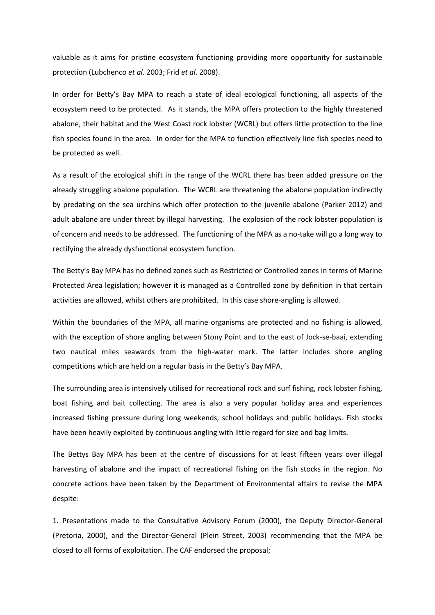valuable as it aims for pristine ecosystem functioning providing more opportunity for sustainable protection (Lubchenco *et al*. 2003; Frid *et al*. 2008).

In order for Betty's Bay MPA to reach a state of ideal ecological functioning, all aspects of the ecosystem need to be protected. As it stands, the MPA offers protection to the highly threatened abalone, their habitat and the West Coast rock lobster (WCRL) but offers little protection to the line fish species found in the area. In order for the MPA to function effectively line fish species need to be protected as well.

As a result of the ecological shift in the range of the WCRL there has been added pressure on the already struggling abalone population. The WCRL are threatening the abalone population indirectly by predating on the sea urchins which offer protection to the juvenile abalone (Parker 2012) and adult abalone are under threat by illegal harvesting. The explosion of the rock lobster population is of concern and needs to be addressed. The functioning of the MPA as a no-take will go a long way to rectifying the already dysfunctional ecosystem function.

The Betty's Bay MPA has no defined zones such as Restricted or Controlled zones in terms of Marine Protected Area legislation; however it is managed as a Controlled zone by definition in that certain activities are allowed, whilst others are prohibited. In this case shore-angling is allowed.

Within the boundaries of the MPA, all marine organisms are protected and no fishing is allowed, with the exception of shore angling between Stony Point and to the east of Jock-se-baai, extending two nautical miles seawards from the high-water mark. The latter includes shore angling competitions which are held on a regular basis in the Betty's Bay MPA.

The surrounding area is intensively utilised for recreational rock and surf fishing, rock lobster fishing, boat fishing and bait collecting. The area is also a very popular holiday area and experiences increased fishing pressure during long weekends, school holidays and public holidays. Fish stocks have been heavily exploited by continuous angling with little regard for size and bag limits.

The Bettys Bay MPA has been at the centre of discussions for at least fifteen years over illegal harvesting of abalone and the impact of recreational fishing on the fish stocks in the region. No concrete actions have been taken by the Department of Environmental affairs to revise the MPA despite:

1. Presentations made to the Consultative Advisory Forum (2000), the Deputy Director-General (Pretoria, 2000), and the Director-General (Plein Street, 2003) recommending that the MPA be closed to all forms of exploitation. The CAF endorsed the proposal;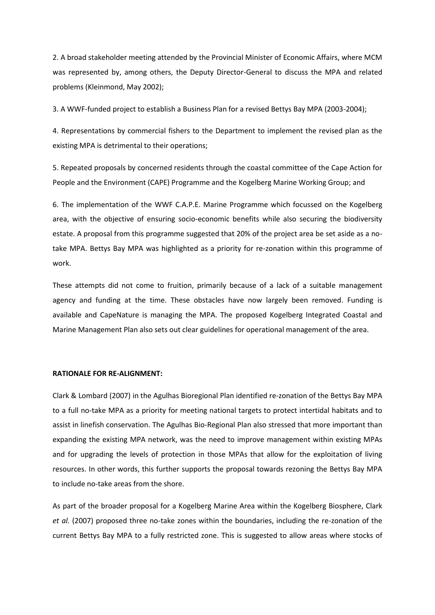2. A broad stakeholder meeting attended by the Provincial Minister of Economic Affairs, where MCM was represented by, among others, the Deputy Director-General to discuss the MPA and related problems (Kleinmond, May 2002);

3. A WWF-funded project to establish a Business Plan for a revised Bettys Bay MPA (2003-2004);

4. Representations by commercial fishers to the Department to implement the revised plan as the existing MPA is detrimental to their operations;

5. Repeated proposals by concerned residents through the coastal committee of the Cape Action for People and the Environment (CAPE) Programme and the Kogelberg Marine Working Group; and

6. The implementation of the WWF C.A.P.E. Marine Programme which focussed on the Kogelberg area, with the objective of ensuring socio-economic benefits while also securing the biodiversity estate. A proposal from this programme suggested that 20% of the project area be set aside as a notake MPA. Bettys Bay MPA was highlighted as a priority for re-zonation within this programme of work.

These attempts did not come to fruition, primarily because of a lack of a suitable management agency and funding at the time. These obstacles have now largely been removed. Funding is available and CapeNature is managing the MPA. The proposed Kogelberg Integrated Coastal and Marine Management Plan also sets out clear guidelines for operational management of the area.

#### **RATIONALE FOR RE-ALIGNMENT:**

Clark & Lombard (2007) in the Agulhas Bioregional Plan identified re-zonation of the Bettys Bay MPA to a full no-take MPA as a priority for meeting national targets to protect intertidal habitats and to assist in linefish conservation. The Agulhas Bio-Regional Plan also stressed that more important than expanding the existing MPA network, was the need to improve management within existing MPAs and for upgrading the levels of protection in those MPAs that allow for the exploitation of living resources. In other words, this further supports the proposal towards rezoning the Bettys Bay MPA to include no-take areas from the shore.

As part of the broader proposal for a Kogelberg Marine Area within the Kogelberg Biosphere, Clark *et al.* (2007) proposed three no-take zones within the boundaries, including the re-zonation of the current Bettys Bay MPA to a fully restricted zone. This is suggested to allow areas where stocks of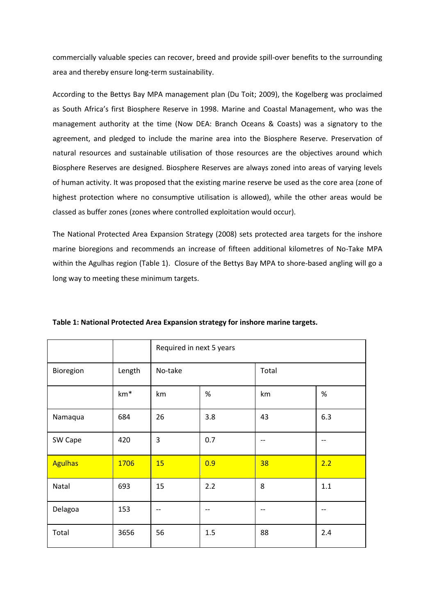commercially valuable species can recover, breed and provide spill-over benefits to the surrounding area and thereby ensure long-term sustainability.

According to the Bettys Bay MPA management plan (Du Toit; 2009), the Kogelberg was proclaimed as South Africa's first Biosphere Reserve in 1998. Marine and Coastal Management, who was the management authority at the time (Now DEA: Branch Oceans & Coasts) was a signatory to the agreement, and pledged to include the marine area into the Biosphere Reserve. Preservation of natural resources and sustainable utilisation of those resources are the objectives around which Biosphere Reserves are designed. Biosphere Reserves are always zoned into areas of varying levels of human activity. It was proposed that the existing marine reserve be used as the core area (zone of highest protection where no consumptive utilisation is allowed), while the other areas would be classed as buffer zones (zones where controlled exploitation would occur).

The National Protected Area Expansion Strategy (2008) sets protected area targets for the inshore marine bioregions and recommends an increase of fifteen additional kilometres of No-Take MPA within the Agulhas region (Table 1). Closure of the Bettys Bay MPA to shore-based angling will go a long way to meeting these minimum targets.

|                |        | Required in next 5 years |      |       |       |
|----------------|--------|--------------------------|------|-------|-------|
| Bioregion      | Length | No-take                  |      | Total |       |
|                | $km*$  | km                       | $\%$ | km    | $\%$  |
| Namaqua        | 684    | 26                       | 3.8  | 43    | 6.3   |
| SW Cape        | 420    | 3                        | 0.7  | --    | --    |
| <b>Agulhas</b> | 1706   | 15                       | 0.9  | 38    | 2.2   |
| Natal          | 693    | 15                       | 2.2  | 8     | 1.1   |
| Delagoa        | 153    | $- -$                    | $-$  | --    | $- -$ |
| Total          | 3656   | 56                       | 1.5  | 88    | 2.4   |

**Table 1: National Protected Area Expansion strategy for inshore marine targets.**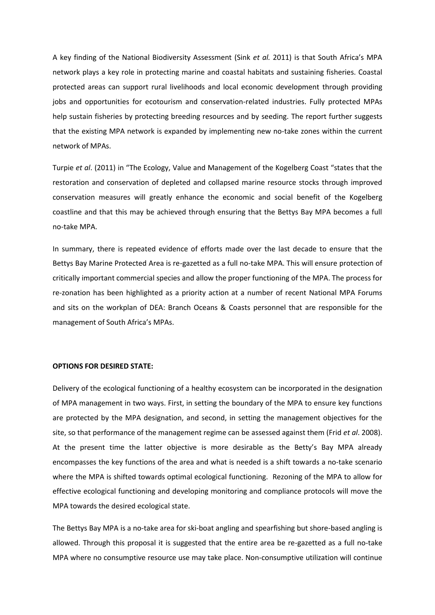A key finding of the National Biodiversity Assessment (Sink *et al.* 2011) is that South Africa's MPA network plays a key role in protecting marine and coastal habitats and sustaining fisheries. Coastal protected areas can support rural livelihoods and local economic development through providing jobs and opportunities for ecotourism and conservation-related industries. Fully protected MPAs help sustain fisheries by protecting breeding resources and by seeding. The report further suggests that the existing MPA network is expanded by implementing new no-take zones within the current network of MPAs.

Turpie *et al*. (2011) in "The Ecology, Value and Management of the Kogelberg Coast "states that the restoration and conservation of depleted and collapsed marine resource stocks through improved conservation measures will greatly enhance the economic and social benefit of the Kogelberg coastline and that this may be achieved through ensuring that the Bettys Bay MPA becomes a full no-take MPA.

In summary, there is repeated evidence of efforts made over the last decade to ensure that the Bettys Bay Marine Protected Area is re-gazetted as a full no-take MPA. This will ensure protection of critically important commercial species and allow the proper functioning of the MPA. The process for re-zonation has been highlighted as a priority action at a number of recent National MPA Forums and sits on the workplan of DEA: Branch Oceans & Coasts personnel that are responsible for the management of South Africa's MPAs.

#### **OPTIONS FOR DESIRED STATE:**

Delivery of the ecological functioning of a healthy ecosystem can be incorporated in the designation of MPA management in two ways. First, in setting the boundary of the MPA to ensure key functions are protected by the MPA designation, and second, in setting the management objectives for the site, so that performance of the management regime can be assessed against them (Frid *et al*. 2008). At the present time the latter objective is more desirable as the Betty's Bay MPA already encompasses the key functions of the area and what is needed is a shift towards a no-take scenario where the MPA is shifted towards optimal ecological functioning. Rezoning of the MPA to allow for effective ecological functioning and developing monitoring and compliance protocols will move the MPA towards the desired ecological state.

The Bettys Bay MPA is a no-take area for ski-boat angling and spearfishing but shore-based angling is allowed. Through this proposal it is suggested that the entire area be re-gazetted as a full no-take MPA where no consumptive resource use may take place. Non-consumptive utilization will continue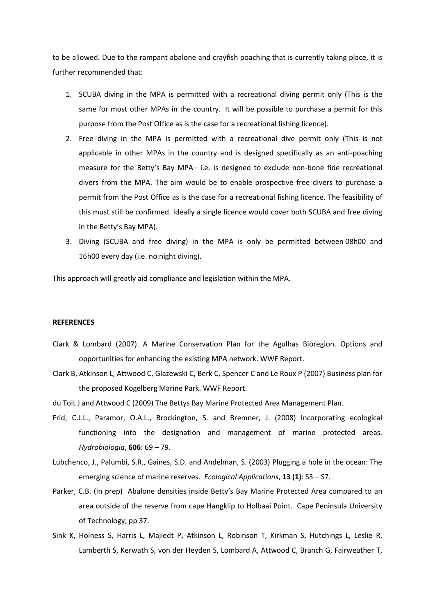to be allowed. Due to the rampant abalone and crayfish poaching that is currently taking place, it is further recommended that:

- 1. SCUBA diving in the MPA is permitted with a recreational diving permit only (This is the same for most other MPAs in the country. It will be possible to purchase a permit for this purpose from the Post Office as is the case for a recreational fishing licence).
- 2. Free diving in the MPA is permitted with a recreational dive permit only (This is not applicable in other MPAs in the country and is designed specifically as an anti-poaching measure for the Betty's Bay MPA– i.e. is designed to exclude non-bone fide recreational divers from the MPA. The aim would be to enable prospective free divers to purchase a permit from the Post Office as is the case for a recreational fishing licence. The feasibility of this must still be confirmed. Ideally a single licence would cover both SCUBA and free diving in the Betty's Bay MPA).
- 3. Diving (SCUBA and free diving) in the MPA is only be permitted between 08h00 and 16h00 every day (i.e. no night diving).

This approach will greatly aid compliance and legislation within the MPA.

#### **REFERENCES**

- Clark & Lombard (2007). A Marine Conservation Plan for the Agulhas Bioregion. Options and opportunities for enhancing the existing MPA network. WWF Report.
- Clark B, Atkinson L, Attwood C, Glazewski C, Berk C, Spencer C and Le Roux P (2007) Business plan for the proposed Kogelberg Marine Park. WWF Report.
- du Toit J and Attwood C (2009) The Bettys Bay Marine Protected Area Management Plan.
- Frid, C.J.L., Paramor, O.A.L., Brockington, S. and Bremner, J. (2008) Incorporating ecological functioning into the designation and management of marine protected areas. *Hydrobiologia*, **606**: 69 – 79.
- Lubchenco, J., Palumbi, S.R., Gaines, S.D. and Andelman, S. (2003) Plugging a hole in the ocean: The emerging science of marine reserves. *Ecological Applications*, **13 (1)**: S3 – S7.
- Parker, C.B. (In prep) Abalone densities inside Betty's Bay Marine Protected Area compared to an area outside of the reserve from cape Hangklip to Holbaai Point. Cape Peninsula University of Technology, pp 37.
- Sink K, Holness S, Harris L, Majiedt P, Atkinson L, Robinson T, Kirkman S, Hutchings L, Leslie R, Lamberth S, Kerwath S, von der Heyden S, Lombard A, Attwood C, Branch G, Fairweather T,